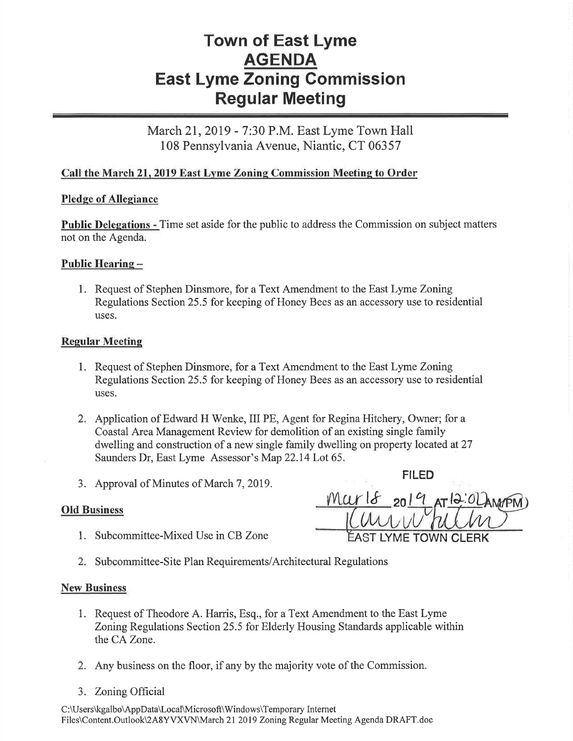# Town of East Lyme AGENDA East Lyme Zoning Gommission Regular Meeting

March 21, 2019 - 7:30 P.M. East Lyme Town Hall 108 Pennsylvania Avenue, Niantic, CT 06357

## Call the March 21, 2019 East Lyme Zoning Commission Meeting to Order

### Pledge of Allegiance

Public Delegations - Time set aside for the public to address the Commission on subject matters not on the Agenda.

### Public Hearing -

l. Request of Stephen Dinsmore, for a Text Amendment to the East Lyme Zoning Regulations Section 25.5 for keeping of Honey Bees as an accessory use to residential uses.

### Regular Meeting

- l. Request of Stephen Dinsmore, for a Text Amendment to the East Lyme Zoning Regulations Section 25.5 for keeping of Honey Bees as an accessory use to residential uses.
- 2. Application of Edward H Wenke, III PE, Agent for Regina Hitchery, Owner; for <sup>a</sup> Coastal Area Management Review for demolition of an existing single family dwelling and construction of a new single family dwelling on property locatedat2T Saunders Dr, East Lyme Assessor's Map 22.14 Lot 65.
- 3. Approval of Minutes of March 7,2019. FILED

- 1. Subcommittee-Mixed Use in CB Zone
- $\frac{18}{201}$  at 12: Old Business  $\frac{1}{\sqrt{1-\frac{1}{\sqrt{1-\frac{1}{\sqrt{1-\frac{1}{\sqrt{1-\frac{1}{\sqrt{1-\frac{1}{\sqrt{1-\frac{1}{\sqrt{1-\frac{1}{\sqrt{1-\frac{1}{\sqrt{1-\frac{1}{\sqrt{1-\frac{1}{\sqrt{1-\frac{1}{\sqrt{1-\frac{1}{\sqrt{1-\frac{1}{\sqrt{1-\frac{1}{\sqrt{1-\frac{1}{\sqrt{1-\frac{1}{\sqrt{1-\frac{1}{\sqrt{1-\frac{1}{\sqrt{1-\frac{1}{\sqrt{1-\frac{1}{\sqrt{1-\frac{1}{\sqrt{1-\frac{1}{\sqrt{1$ 
	- 2. Subcommittee-Site Plan Requirements/Architectural Regulations

#### New Business

- 1. Request of Theodore A. Harris, Esq., for a Text Amendment to the East Lyme Zoning Regulations Section 25.5 for Elderly Housing Standards applicable within the CA Zone.
- 2. Any business on the floor, if any by the majority vote of the Commission.
- 3. ZoningOfficial

C:\Users\kgalbo\AppData\Local\Microsoft\Windows\Temporary Internet Files\Content.Outlook\2A8YVXVN\March 21 2019 Zoning Regular Meeting Agenda DRAFT.doc